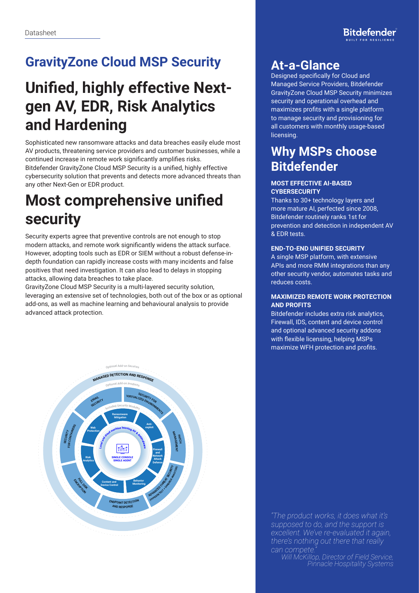# **GravityZone Cloud MSP Security**

# **Unified, highly effective Nextgen AV, EDR, Risk Analytics and Hardening**

Sophisticated new ransomware attacks and data breaches easily elude most AV products, threatening service providers and customer businesses, while a continued increase in remote work significantly amplifies risks. Bitdefender GravityZone Cloud MSP Security is a unified, highly effective cybersecurity solution that prevents and detects more advanced threats than any other Next-Gen or EDR product.

# **Most comprehensive unified security**

Security experts agree that preventive controls are not enough to stop modern attacks, and remote work significantly widens the attack surface. However, adopting tools such as EDR or SIEM without a robust defense-indepth foundation can rapidly increase costs with many incidents and false positives that need investigation. It can also lead to delays in stopping attacks, allowing data breaches to take place.

GravityZone Cloud MSP Security is a multi-layered security solution, leveraging an extensive set of technologies, both out of the box or as optional add-ons, as well as machine learning and behavioural analysis to provide advanced attack protection.



# **At-a-Glance**

Designed specifically for Cloud and Managed Service Providers, Bitdefender GravityZone Cloud MSP Security minimizes security and operational overhead and maximizes profits with a single platform to manage security and provisioning for all customers with monthly usage-based licensing.

# **Why MSPs choose Bitdefender**

## **MOST EFFECTIVE AI-BASED CYBERSECURITY**

Thanks to 30+ technology layers and more mature AI, perfected since 2008, Bitdefender routinely ranks 1st for prevention and detection in independent AV & EDR tests.

## **END-TO-END UNIFIED SECURITY**

A single MSP platform, with extensive APIs and more RMM integrations than any other security vendor, automates tasks and reduces costs.

### **MAXIMIZED REMOTE WORK PROTECTION AND PROFITS**

Bitdefender includes extra risk analytics, Firewall, IDS, content and device control and optional advanced security addons with flexible licensing, helping MSPs maximize WFH protection and profits.

*"The product works, it does what it's supposed to do, and the support is excellent. We've re-evaluated it again, there's nothing out there that really*  can compete

*Will McKillop, Director of Field Service, Pinnacle Hospitality Systems*